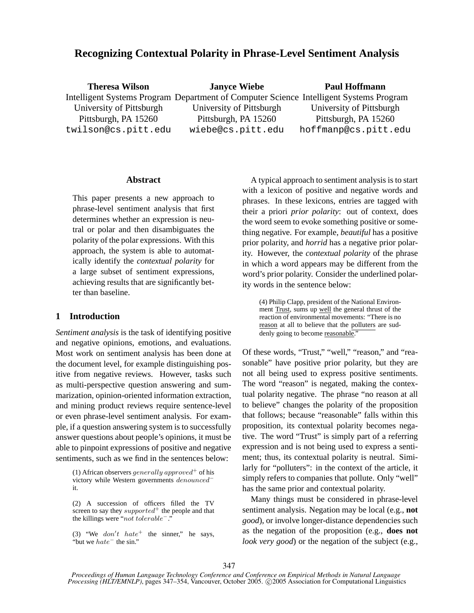# **Recognizing Contextual Polarity in Phrase-Level Sentiment Analysis**

| <b>Theresa Wilson</b>    | <b>Janyce Wiebe</b>                                                                    | <b>Paul Hoffmann</b>     |
|--------------------------|----------------------------------------------------------------------------------------|--------------------------|
|                          | Intelligent Systems Program Department of Computer Science Intelligent Systems Program |                          |
| University of Pittsburgh | University of Pittsburgh                                                               | University of Pittsburgh |
| Pittsburgh, PA 15260     | Pittsburgh, PA 15260                                                                   | Pittsburgh, PA 15260     |
| twilson@cs.pitt.edu      | wiebe@cs.pitt.edu                                                                      | hoffmanp@cs.pitt.edu     |

#### **Abstract**

This paper presents a new approach to phrase-level sentiment analysis that first determines whether an expression is neutral or polar and then disambiguates the polarity of the polar expressions. With this approach, the system is able to automatically identify the *contextual polarity* for a large subset of sentiment expressions, achieving results that are significantly better than baseline.

# **1 Introduction**

*Sentiment analysis* is the task of identifying positive and negative opinions, emotions, and evaluations. Most work on sentiment analysis has been done at the document level, for example distinguishing positive from negative reviews. However, tasks such as multi-perspective question answering and summarization, opinion-oriented information extraction, and mining product reviews require sentence-level or even phrase-level sentiment analysis. For example, if a question answering system is to successfully answer questions about people's opinions, it must be able to pinpoint expressions of positive and negative sentiments, such as we find in the sentences below:

(1) African observers *generally approved*<sup>+</sup> of his victory while Western governments denounced<sup>−</sup> it.

(2) A succession of officers filled the TV screen to say they *supported*<sup>+</sup> the people and that the killings were "not tolerable<sup>-</sup>."

(3) "We  $don't$  hate<sup>+</sup> the sinner," he says, "but we  $hate^-$  the sin."

A typical approach to sentiment analysis is to start with a lexicon of positive and negative words and phrases. In these lexicons, entries are tagged with their a priori *prior polarity*: out of context, does the word seem to evoke something positive or something negative. For example, *beautiful* has a positive prior polarity, and *horrid* has a negative prior polarity. However, the *contextual polarity* of the phrase in which a word appears may be different from the word's prior polarity. Consider the underlined polarity words in the sentence below:

(4) Philip Clapp, president of the National Environment Trust, sums up well the general thrust of the reaction of environmental movements: "There is no reason at all to believe that the polluters are suddenly going to become reasonable.

Of these words, "Trust," "well," "reason," and "reasonable" have positive prior polarity, but they are not all being used to express positive sentiments. The word "reason" is negated, making the contextual polarity negative. The phrase "no reason at all to believe" changes the polarity of the proposition that follows; because "reasonable" falls within this proposition, its contextual polarity becomes negative. The word "Trust" is simply part of a referring expression and is not being used to express a sentiment; thus, its contextual polarity is neutral. Similarly for "polluters": in the context of the article, it simply refers to companies that pollute. Only "well" has the same prior and contextual polarity.

Many things must be considered in phrase-level sentiment analysis. Negation may be local (e.g., **not** *good*), or involve longer-distance dependencies such as the negation of the proposition (e.g., **does not** *look very good*) or the negation of the subject (e.g.,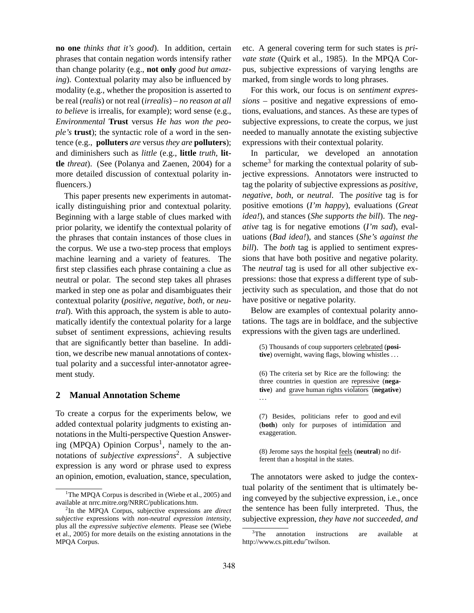**no one** *thinks that it's good*). In addition, certain phrases that contain negation words intensify rather than change polarity (e.g., **not only** *good but amazing*). Contextual polarity may also be influenced by modality (e.g., whether the proposition is asserted to be real (*realis*) or not real (*irrealis*) – *no reason at all to believe* is irrealis, for example); word sense (e.g., *Environmental* **Trust** versus *He has won the people's* **trust**); the syntactic role of a word in the sentence (e.g., **polluters** *are* versus *they are* **polluters**); and diminishers such as *little* (e.g., **little** *truth*, **little** *threat*). (See (Polanya and Zaenen, 2004) for a more detailed discussion of contextual polarity influencers.)

This paper presents new experiments in automatically distinguishing prior and contextual polarity. Beginning with a large stable of clues marked with prior polarity, we identify the contextual polarity of the phrases that contain instances of those clues in the corpus. We use a two-step process that employs machine learning and a variety of features. The first step classifies each phrase containing a clue as neutral or polar. The second step takes all phrases marked in step one as polar and disambiguates their contextual polarity (*positive*, *negative*, *both*, or *neutral*). With this approach, the system is able to automatically identify the contextual polarity for a large subset of sentiment expressions, achieving results that are significantly better than baseline. In addition, we describe new manual annotations of contextual polarity and a successful inter-annotator agreement study.

# **2 Manual Annotation Scheme**

To create a corpus for the experiments below, we added contextual polarity judgments to existing annotations in the Multi-perspective Question Answering (MPQA) Opinion Corpus<sup>1</sup>, namely to the annotations of *subjective expressions*<sup>2</sup> . A subjective expression is any word or phrase used to express an opinion, emotion, evaluation, stance, speculation,

etc. A general covering term for such states is *private state* (Quirk et al., 1985). In the MPQA Corpus, subjective expressions of varying lengths are marked, from single words to long phrases.

For this work, our focus is on *sentiment expressions* – positive and negative expressions of emotions, evaluations, and stances. As these are types of subjective expressions, to create the corpus, we just needed to manually annotate the existing subjective expressions with their contextual polarity.

In particular, we developed an annotation scheme<sup>3</sup> for marking the contextual polarity of subjective expressions. Annotators were instructed to tag the polarity of subjective expressions as *positive*, *negative*, *both*, or *neutral*. The *positive* tag is for positive emotions (*I'm happy*), evaluations (*Great idea!*), and stances (*She supports the bill*). The *negative* tag is for negative emotions (*I'm sad*), evaluations (*Bad idea!*), and stances (*She's against the bill*). The *both* tag is applied to sentiment expressions that have both positive and negative polarity. The *neutral* tag is used for all other subjective expressions: those that express a different type of subjectivity such as speculation, and those that do not have positive or negative polarity.

Below are examples of contextual polarity annotations. The tags are in boldface, and the subjective expressions with the given tags are underlined.

(5) Thousands of coup supporters celebrated (**positive**) overnight, waving flags, blowing whistles . . .

(6) The criteria set by Rice are the following: the three countries in question are repressive (**negative**) and grave human rights violators (**negative**) . . .

(7) Besides, politicians refer to good and evil (**both**) only for purposes of intimidation and exaggeration.

(8) Jerome says the hospital feels (**neutral**) no different than a hospital in the states.

The annotators were asked to judge the contextual polarity of the sentiment that is ultimately being conveyed by the subjective expression, i.e., once the sentence has been fully interpreted. Thus, the subjective expression, *they have not succeeded, and*

<sup>&</sup>lt;sup>1</sup>The MPQA Corpus is described in (Wiebe et al., 2005) and available at nrrc.mitre.org/NRRC/publications.htm.

<sup>2</sup> In the MPQA Corpus, subjective expressions are *direct subjective* expressions with *non-neutral expression intensity*, plus all the *expressive subjective elements*. Please see (Wiebe et al., 2005) for more details on the existing annotations in the MPQA Corpus.

<sup>&</sup>lt;sup>3</sup>The annotation instructions are available at http://www.cs.pitt.edu/˜twilson.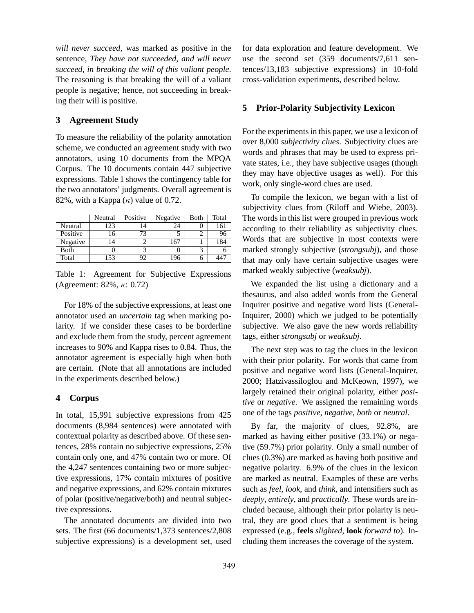*will never succeed*, was marked as positive in the sentence, *They have not succeeded, and will never succeed, in breaking the will of this valiant people*. The reasoning is that breaking the will of a valiant people is negative; hence, not succeeding in breaking their will is positive.

### **3 Agreement Study**

To measure the reliability of the polarity annotation scheme, we conducted an agreement study with two annotators, using 10 documents from the MPQA Corpus. The 10 documents contain 447 subjective expressions. Table 1 shows the contingency table for the two annotators' judgments. Overall agreement is 82%, with a Kappa  $(\kappa)$  value of 0.72.

|          | Neutral | Positive | Negative | Both | Total |
|----------|---------|----------|----------|------|-------|
| Neutral  | 123     | 14       | 24       |      | 161   |
| Positive | 16      | 73       |          |      | 96    |
| Negative | 14      |          | 167      |      | 184   |
| Both     |         |          |          |      |       |
| Total    | 153     | 92       | 196      | n    | 147   |

Table 1: Agreement for Subjective Expressions (Agreement: 82%, κ: 0.72)

For 18% of the subjective expressions, at least one annotator used an *uncertain* tag when marking polarity. If we consider these cases to be borderline and exclude them from the study, percent agreement increases to 90% and Kappa rises to 0.84. Thus, the annotator agreement is especially high when both are certain. (Note that all annotations are included in the experiments described below.)

### **4 Corpus**

In total, 15,991 subjective expressions from 425 documents (8,984 sentences) were annotated with contextual polarity as described above. Of these sentences, 28% contain no subjective expressions, 25% contain only one, and 47% contain two or more. Of the 4,247 sentences containing two or more subjective expressions, 17% contain mixtures of positive and negative expressions, and 62% contain mixtures of polar (positive/negative/both) and neutral subjective expressions.

The annotated documents are divided into two sets. The first (66 documents/1,373 sentences/2,808 subjective expressions) is a development set, used for data exploration and feature development. We use the second set (359 documents/7,611 sentences/13,183 subjective expressions) in 10-fold cross-validation experiments, described below.

### **5 Prior-Polarity Subjectivity Lexicon**

For the experiments in this paper, we use a lexicon of over 8,000 *subjectivity clues*. Subjectivity clues are words and phrases that may be used to express private states, i.e., they have subjective usages (though they may have objective usages as well). For this work, only single-word clues are used.

To compile the lexicon, we began with a list of subjectivity clues from (Riloff and Wiebe, 2003). The words in this list were grouped in previous work according to their reliability as subjectivity clues. Words that are subjective in most contexts were marked strongly subjective (*strongsubj*), and those that may only have certain subjective usages were marked weakly subjective (*weaksubj*).

We expanded the list using a dictionary and a thesaurus, and also added words from the General Inquirer positive and negative word lists (General-Inquirer, 2000) which we judged to be potentially subjective. We also gave the new words reliability tags, either *strongsubj* or *weaksubj*.

The next step was to tag the clues in the lexicon with their prior polarity. For words that came from positive and negative word lists (General-Inquirer, 2000; Hatzivassiloglou and McKeown, 1997), we largely retained their original polarity, either *positive* or *negative*. We assigned the remaining words one of the tags *positive*, *negative*, *both* or *neutral*.

By far, the majority of clues, 92.8%, are marked as having either positive (33.1%) or negative (59.7%) prior polarity. Only a small number of clues (0.3%) are marked as having both positive and negative polarity. 6.9% of the clues in the lexicon are marked as neutral. Examples of these are verbs such as *feel*, *look*, and *think*, and intensifiers such as *deeply*, *entirely*, and *practically*. These words are included because, although their prior polarity is neutral, they are good clues that a sentiment is being expressed (e.g., **feels** *slighted*, **look** *forward to*). Including them increases the coverage of the system.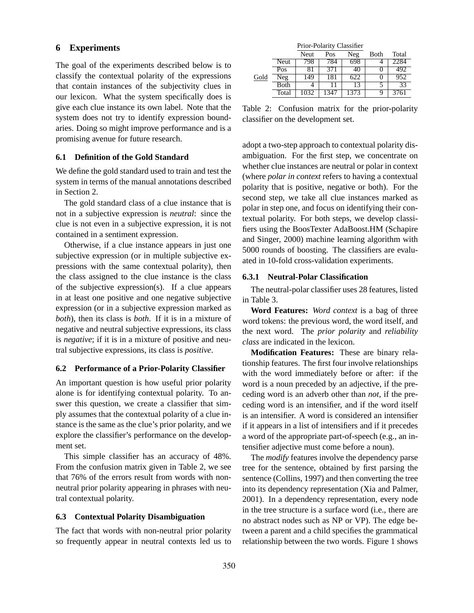### **6 Experiments**

The goal of the experiments described below is to classify the contextual polarity of the expressions that contain instances of the subjectivity clues in our lexicon. What the system specifically does is give each clue instance its own label. Note that the system does not try to identify expression boundaries. Doing so might improve performance and is a promising avenue for future research.

### **6.1 Definition of the Gold Standard**

We define the gold standard used to train and test the system in terms of the manual annotations described in Section 2.

The gold standard class of a clue instance that is not in a subjective expression is *neutral*: since the clue is not even in a subjective expression, it is not contained in a sentiment expression.

Otherwise, if a clue instance appears in just one subjective expression (or in multiple subjective expressions with the same contextual polarity), then the class assigned to the clue instance is the class of the subjective expression(s). If a clue appears in at least one positive and one negative subjective expression (or in a subjective expression marked as *both*), then its class is *both*. If it is in a mixture of negative and neutral subjective expressions, its class is *negative*; if it is in a mixture of positive and neutral subjective expressions, its class is *positive*.

#### **6.2 Performance of a Prior-Polarity Classifier**

An important question is how useful prior polarity alone is for identifying contextual polarity. To answer this question, we create a classifier that simply assumes that the contextual polarity of a clue instance is the same as the clue's prior polarity, and we explore the classifier's performance on the development set.

This simple classifier has an accuracy of 48%. From the confusion matrix given in Table 2, we see that 76% of the errors result from words with nonneutral prior polarity appearing in phrases with neutral contextual polarity.

#### **6.3 Contextual Polarity Disambiguation**

The fact that words with non-neutral prior polarity so frequently appear in neutral contexts led us to

|      |       | Prior-Polarity Classifier |      |      |      |       |  |  |  |
|------|-------|---------------------------|------|------|------|-------|--|--|--|
|      |       | Neut                      | Pos  | Neg  | Both | Total |  |  |  |
|      | Neut  | 798                       | 784  | 698  |      | 2284  |  |  |  |
|      | Pos   | 81                        | 371  | 40   |      | 492   |  |  |  |
| Gold | Neg   | 149                       | 181  | 622  | O    | 952   |  |  |  |
|      | Both  |                           |      | 13   |      | 33    |  |  |  |
|      | Total | 1032                      | 1347 | 1373 |      | 3761  |  |  |  |

Table 2: Confusion matrix for the prior-polarity classifier on the development set.

adopt a two-step approach to contextual polarity disambiguation. For the first step, we concentrate on whether clue instances are neutral or polar in context (where *polar in context* refers to having a contextual polarity that is positive, negative or both). For the second step, we take all clue instances marked as polar in step one, and focus on identifying their contextual polarity. For both steps, we develop classifiers using the BoosTexter AdaBoost.HM (Schapire and Singer, 2000) machine learning algorithm with 5000 rounds of boosting. The classifiers are evaluated in 10-fold cross-validation experiments.

#### **6.3.1 Neutral-Polar Classification**

The neutral-polar classifier uses 28 features, listed in Table 3.

**Word Features:** *Word context* is a bag of three word tokens: the previous word, the word itself, and the next word. The *prior polarity* and *reliability class* are indicated in the lexicon.

**Modification Features:** These are binary relationship features. The first four involve relationships with the word immediately before or after: if the word is a noun preceded by an adjective, if the preceding word is an adverb other than *not*, if the preceding word is an intensifier, and if the word itself is an intensifier. A word is considered an intensifier if it appears in a list of intensifiers and if it precedes a word of the appropriate part-of-speech (e.g., an intensifier adjective must come before a noun).

The *modify* features involve the dependency parse tree for the sentence, obtained by first parsing the sentence (Collins, 1997) and then converting the tree into its dependency representation (Xia and Palmer, 2001). In a dependency representation, every node in the tree structure is a surface word (i.e., there are no abstract nodes such as NP or VP). The edge between a parent and a child specifies the grammatical relationship between the two words. Figure 1 shows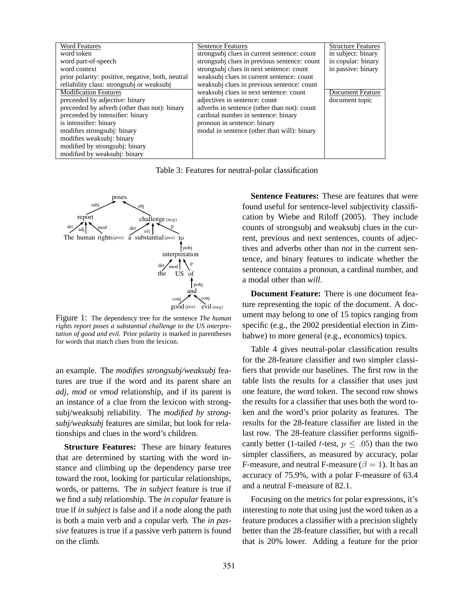| <b>Word Features</b>                              | <b>Sentence Features</b>                     | <b>Structure Features</b> |
|---------------------------------------------------|----------------------------------------------|---------------------------|
| word token                                        | strongsubj clues in current sentence: count  | in subject: binary        |
| word part-of-speech                               | strongsubj clues in previous sentence: count | in copular: binary        |
| word context                                      | strongsubj clues in next sentence: count     | in passive: binary        |
| prior polarity: positive, negative, both, neutral | weaksubj clues in current sentence: count    |                           |
| reliability class: strongsubj or weaksubj         | weaksubj clues in previous sentence: count   |                           |
| <b>Modification Features</b>                      | weaksubj clues in next sentence: count       | <b>Document Feature</b>   |
| preceeded by adjective: binary                    | adjectives in sentence: count                | document topic            |
| preceeded by adverb (other than not): binary      | adverbs in sentence (other than not): count  |                           |
| preceeded by intensifier: binary                  | cardinal number in sentence: binary          |                           |
| is intensifier: binary                            | pronoun in sentence: binary                  |                           |
| modifies strongsubj: binary                       | modal in sentence (other than will): binary  |                           |
| modifies weaksubj: binary                         |                                              |                           |
| modified by strongsubj: binary                    |                                              |                           |
| modified by weaksubj: binary                      |                                              |                           |

Table 3: Features for neutral-polar classification



Figure 1: The dependency tree for the sentence *The human rights report poses a substantial challenge to the US interpretation of good and evil.* Prior polarity is marked in parentheses for words that match clues from the lexicon.

an example. The *modifies strongsubj/weaksubj* features are true if the word and its parent share an *adj*, *mod* or *vmod* relationship, and if its parent is an instance of a clue from the lexicon with strongsubj/weaksubj reliability. The *modified by strongsubj/weaksubj* features are similar, but look for relationships and clues in the word's children.

**Structure Features:** These are binary features that are determined by starting with the word instance and climbing up the dependency parse tree toward the root, looking for particular relationships, words, or patterns. The *in subject* feature is true if we find a *subj* relationship. The *in copular* feature is true if *in subject* is false and if a node along the path is both a main verb and a copular verb. The *in passive* features is true if a passive verb pattern is found on the climb.

**Sentence Features:** These are features that were found useful for sentence-level subjectivity classification by Wiebe and Riloff (2005). They include counts of strongsubj and weaksubj clues in the current, previous and next sentences, counts of adjectives and adverbs other than *not* in the current sentence, and binary features to indicate whether the sentence contains a pronoun, a cardinal number, and a modal other than *will*.

**Document Feature:** There is one document feature representing the topic of the document. A document may belong to one of 15 topics ranging from specific (e.g., the 2002 presidential election in Zimbabwe) to more general (e.g., economics) topics.

Table 4 gives neutral-polar classification results for the 28-feature classifier and two simpler classifiers that provide our baselines. The first row in the table lists the results for a classifier that uses just one feature, the word token. The second row shows the results for a classifier that uses both the word token and the word's prior polarity as features. The results for the 28-feature classifier are listed in the last row. The 28-feature classifier performs significantly better (1-tailed t-test,  $p \leq .05$ ) than the two simpler classifiers, as measured by accuracy, polar F-measure, and neutral F-measure ( $\beta = 1$ ). It has an accuracy of 75.9%, with a polar F-measure of 63.4 and a neutral F-measure of 82.1.

Focusing on the metrics for polar expressions, it's interesting to note that using just the word token as a feature produces a classifier with a precision slightly better than the 28-feature classifier, but with a recall that is 20% lower. Adding a feature for the prior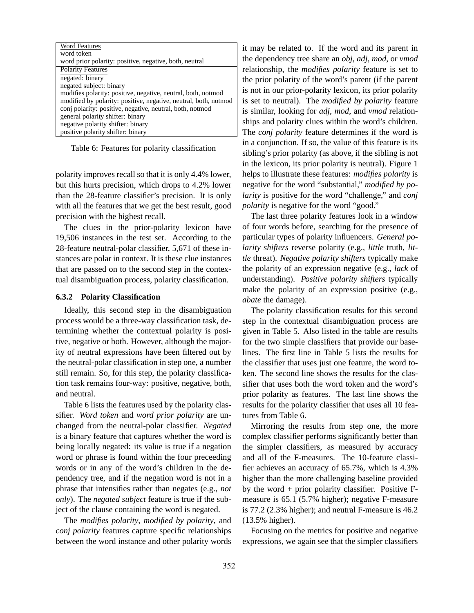| <b>Word Features</b>                                            |
|-----------------------------------------------------------------|
| word token                                                      |
| word prior polarity: positive, negative, both, neutral          |
| <b>Polarity Features</b>                                        |
| negated: binary                                                 |
| negated subject: binary                                         |
| modifies polarity: positive, negative, neutral, both, notmod    |
| modified by polarity: positive, negative, neutral, both, notmod |
| conj polarity: positive, negative, neutral, both, notmod        |
| general polarity shifter: binary                                |
| negative polarity shifter: binary                               |
| positive polarity shifter: binary                               |

Table 6: Features for polarity classification

polarity improves recall so that it is only 4.4% lower, but this hurts precision, which drops to 4.2% lower than the 28-feature classifier's precision. It is only with all the features that we get the best result, good precision with the highest recall.

The clues in the prior-polarity lexicon have 19,506 instances in the test set. According to the 28-feature neutral-polar classifier, 5,671 of these instances are polar in context. It is these clue instances that are passed on to the second step in the contextual disambiguation process, polarity classification.

#### **6.3.2 Polarity Classification**

Ideally, this second step in the disambiguation process would be a three-way classification task, determining whether the contextual polarity is positive, negative or both. However, although the majority of neutral expressions have been filtered out by the neutral-polar classification in step one, a number still remain. So, for this step, the polarity classification task remains four-way: positive, negative, both, and neutral.

Table 6 lists the features used by the polarity classifier. *Word token* and *word prior polarity* are unchanged from the neutral-polar classifier. *Negated* is a binary feature that captures whether the word is being locally negated: its value is true if a negation word or phrase is found within the four preceeding words or in any of the word's children in the dependency tree, and if the negation word is not in a phrase that intensifies rather than negates (e.g., *not only*). The *negated subject* feature is true if the subject of the clause containing the word is negated.

The *modifies polarity*, *modified by polarity*, and *conj polarity* features capture specific relationships between the word instance and other polarity words

it may be related to. If the word and its parent in the dependency tree share an *obj*, *adj*, *mod*, or *vmod* relationship, the *modifies polarity* feature is set to the prior polarity of the word's parent (if the parent is not in our prior-polarity lexicon, its prior polarity is set to neutral). The *modified by polarity* feature is similar, looking for *adj*, *mod*, and *vmod* relationships and polarity clues within the word's children. The *conj polarity* feature determines if the word is in a conjunction. If so, the value of this feature is its sibling's prior polarity (as above, if the sibling is not in the lexicon, its prior polarity is neutral). Figure 1 helps to illustrate these features: *modifies polarity* is negative for the word "substantial," *modified by polarity* is positive for the word "challenge," and *conj polarity* is negative for the word "good."

The last three polarity features look in a window of four words before, searching for the presence of particular types of polarity influencers. *General polarity shifters* reverse polarity (e.g., *little* truth, *little* threat). *Negative polarity shifters* typically make the polarity of an expression negative (e.g., *lack* of understanding). *Positive polarity shifters* typically make the polarity of an expression positive (e.g., *abate* the damage).

The polarity classification results for this second step in the contextual disambiguation process are given in Table 5. Also listed in the table are results for the two simple classifiers that provide our baselines. The first line in Table 5 lists the results for the classifier that uses just one feature, the word token. The second line shows the results for the classifier that uses both the word token and the word's prior polarity as features. The last line shows the results for the polarity classifier that uses all 10 features from Table 6.

Mirroring the results from step one, the more complex classifier performs significantly better than the simpler classifiers, as measured by accuracy and all of the F-measures. The 10-feature classifier achieves an accuracy of 65.7%, which is 4.3% higher than the more challenging baseline provided by the word + prior polarity classifier. Positive Fmeasure is 65.1 (5.7% higher); negative F-measure is 77.2 (2.3% higher); and neutral F-measure is 46.2 (13.5% higher).

Focusing on the metrics for positive and negative expressions, we again see that the simpler classifiers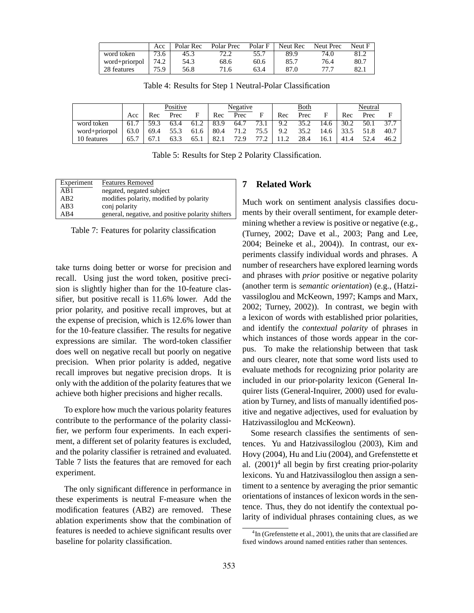|               | Acc  | Polar Rec | Polar Prec | Polar F | Neut Rec | Neut Prec | Neut F |
|---------------|------|-----------|------------|---------|----------|-----------|--------|
| word token    | 73.6 | 45.3      |            | 55.7    | 89.9     | 74.0      |        |
| word+priorpol | 74.2 | 54.3      | 68.6       | 60.6    | 85.7     | 76.4      | 80.7   |
| 28 features   | 75.9 | 56.8      | 71.6       | 63.4    | 87.0     |           |        |

Table 4: Results for Step 1 Neutral-Polar Classification

|                                                                                                                 |     |                        | Positive                       |               | Negative |        | Both |  |                                        | Neutral |                    |  |      |
|-----------------------------------------------------------------------------------------------------------------|-----|------------------------|--------------------------------|---------------|----------|--------|------|--|----------------------------------------|---------|--------------------|--|------|
|                                                                                                                 | Acc | Rec Prec               |                                | F             | Rec      | Prec F |      |  | Rec Prec                               | F       | Rec Prec           |  |      |
| word token                                                                                                      |     |                        | $61.7$   59.3 63.4 61.2   83.9 |               |          |        |      |  | 64.7 73.1 9.2 35.2 14.6 30.2 50.1 37.7 |         |                    |  |      |
| word+priorpol   63.0   69.4    55.3    61.6   80.4    71.2    75.5   9.2    35.2    14.6   33.5    51.8    40.7 |     |                        |                                |               |          |        |      |  |                                        |         |                    |  |      |
| 10 features                                                                                                     |     | $65.7$   $67.1$ $63.3$ |                                | $65.1$   82.1 |          |        |      |  | 72.9 77.2 11.2 28.4                    |         | $16.1$   41.4 52.4 |  | 46.2 |

Table 5: Results for Step 2 Polarity Classification.

| Experiment | <b>Features Removed</b>                           |
|------------|---------------------------------------------------|
| AB1        | negated, negated subject                          |
| AB2        | modifies polarity, modified by polarity           |
| AB3        | conj polarity                                     |
| AB4        | general, negative, and positive polarity shifters |

Table 7: Features for polarity classification

take turns doing better or worse for precision and recall. Using just the word token, positive precision is slightly higher than for the 10-feature classifier, but positive recall is 11.6% lower. Add the prior polarity, and positive recall improves, but at the expense of precision, which is 12.6% lower than for the 10-feature classifier. The results for negative expressions are similar. The word-token classifier does well on negative recall but poorly on negative precision. When prior polarity is added, negative recall improves but negative precision drops. It is only with the addition of the polarity features that we achieve both higher precisions and higher recalls.

To explore how much the various polarity features contribute to the performance of the polarity classifier, we perform four experiments. In each experiment, a different set of polarity features is excluded, and the polarity classifier is retrained and evaluated. Table 7 lists the features that are removed for each experiment.

The only significant difference in performance in these experiments is neutral F-measure when the modification features (AB2) are removed. These ablation experiments show that the combination of features is needed to achieve significant results over baseline for polarity classification.

# **7 Related Work**

Much work on sentiment analysis classifies documents by their overall sentiment, for example determining whether a review is positive or negative (e.g., (Turney, 2002; Dave et al., 2003; Pang and Lee, 2004; Beineke et al., 2004)). In contrast, our experiments classify individual words and phrases. A number of researchers have explored learning words and phrases with *prior* positive or negative polarity (another term is *semantic orientation*) (e.g., (Hatzivassiloglou and McKeown, 1997; Kamps and Marx, 2002; Turney, 2002)). In contrast, we begin with a lexicon of words with established prior polarities, and identify the *contextual polarity* of phrases in which instances of those words appear in the corpus. To make the relationship between that task and ours clearer, note that some word lists used to evaluate methods for recognizing prior polarity are included in our prior-polarity lexicon (General Inquirer lists (General-Inquirer, 2000) used for evaluation by Turney, and lists of manually identified positive and negative adjectives, used for evaluation by Hatzivassiloglou and McKeown).

Some research classifies the sentiments of sentences. Yu and Hatzivassiloglou (2003), Kim and Hovy (2004), Hu and Liu (2004), and Grefenstette et al.  $(2001)^4$  all begin by first creating prior-polarity lexicons. Yu and Hatzivassiloglou then assign a sentiment to a sentence by averaging the prior semantic orientations of instances of lexicon words in the sentence. Thus, they do not identify the contextual polarity of individual phrases containing clues, as we

<sup>&</sup>lt;sup>4</sup>In (Grefenstette et al., 2001), the units that are classified are fixed windows around named entities rather than sentences.